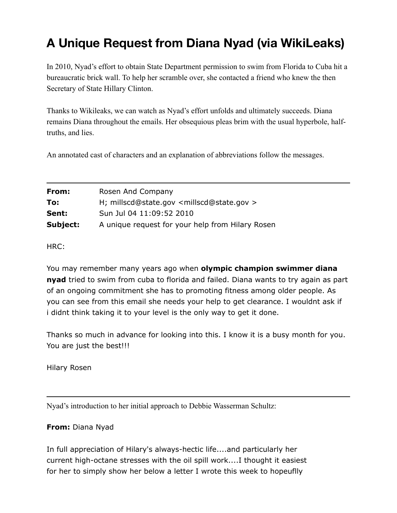## **A Unique Request from Diana Nyad (via WikiLeaks)**

In 2010, Nyad's effort to obtain State Department permission to swim from Florida to Cuba hit a bureaucratic brick wall. To help her scramble over, she contacted a friend who knew the then Secretary of State Hillary Clinton.

Thanks to Wikileaks, we can watch as Nyad's effort unfolds and ultimately succeeds. Diana remains Diana throughout the emails. Her obsequious pleas brim with the usual hyperbole, halftruths, and lies.

An annotated cast of characters and an explanation of abbreviations follow the messages.

| From:    | Rosen And Company                                            |
|----------|--------------------------------------------------------------|
| To:      | H; millscd@state.gov <millscd@state.gov></millscd@state.gov> |
| Sent:    | Sun Jul 04 11:09:52 2010                                     |
| Subject: | A unique request for your help from Hilary Rosen             |

HRC:

You may remember many years ago when **olympic champion swimmer diana nyad** tried to swim from cuba to florida and failed. Diana wants to try again as part of an ongoing commitment she has to promoting fitness among older people. As you can see from this email she needs your help to get clearance. I wouldnt ask if i didnt think taking it to your level is the only way to get it done.

Thanks so much in advance for looking into this. I know it is a busy month for you. You are just the best!!!

Hilary Rosen

Nyad's introduction to her initial approach to Debbie Wasserman Schultz:

## **From:** Diana Nyad

In full appreciation of Hilary's always-hectic life....and particularly her current high-octane stresses with the oil spill work....I thought it easiest for her to simply show her below a letter I wrote this week to hopeuflly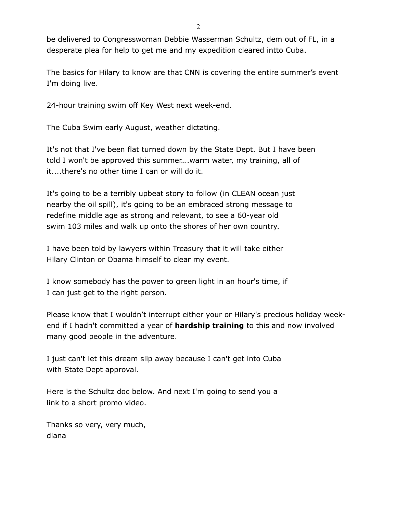be delivered to Congresswoman Debbie Wasserman Schultz, dem out of FL, in a desperate plea for help to get me and my expedition cleared intto Cuba.

The basics for Hilary to know are that CNN is covering the entire summer's event I'm doing live.

24-hour training swim off Key West next week-end.

The Cuba Swim early August, weather dictating.

It's not that I've been flat turned down by the State Dept. But I have been told I won't be approved this summer….warm water, my training, all of it....there's no other time I can or will do it.

It's going to be a terribly upbeat story to follow (in CLEAN ocean just nearby the oil spill), it's going to be an embraced strong message to redefine middle age as strong and relevant, to see a 60-year old swim 103 miles and walk up onto the shores of her own country.

I have been told by lawyers within Treasury that it will take either Hilary Clinton or Obama himself to clear my event.

I know somebody has the power to green light in an hour's time, if I can just get to the right person.

Please know that I wouldn't interrupt either your or Hilary's precious holiday weekend if I hadn't committed a year of **hardship training** to this and now involved many good people in the adventure.

I just can't let this dream slip away because I can't get into Cuba with State Dept approval.

Here is the Schultz doc below. And next I'm going to send you a link to a short promo video.

Thanks so very, very much, diana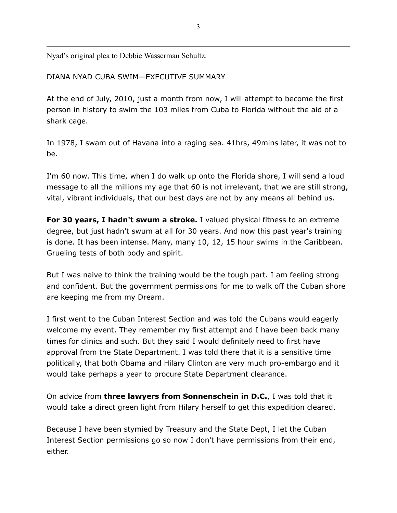Nyad's original plea to Debbie Wasserman Schultz.

DIANA NYAD CUBA SWIM—EXECUTIVE SUMMARY

At the end of July, 2010, just a month from now, I will attempt to become the first person in history to swim the 103 miles from Cuba to Florida without the aid of a shark cage.

In 1978, I swam out of Havana into a raging sea. 41hrs, 49mins later, it was not to be.

I'm 60 now. This time, when I do walk up onto the Florida shore, I will send a loud message to all the millions my age that 60 is not irrelevant, that we are still strong, vital, vibrant individuals, that our best days are not by any means all behind us.

**For 30 years, I hadn't swum a stroke.** I valued physical fitness to an extreme degree, but just hadn't swum at all for 30 years. And now this past year's training is done. It has been intense. Many, many 10, 12, 15 hour swims in the Caribbean. Grueling tests of both body and spirit.

But I was naive to think the training would be the tough part. I am feeling strong and confident. But the government permissions for me to walk off the Cuban shore are keeping me from my Dream.

I first went to the Cuban Interest Section and was told the Cubans would eagerly welcome my event. They remember my first attempt and I have been back many times for clinics and such. But they said I would definitely need to first have approval from the State Department. I was told there that it is a sensitive time politically, that both Obama and Hilary Clinton are very much pro-embargo and it would take perhaps a year to procure State Department clearance.

On advice from **three lawyers from Sonnenschein in D.C.**, I was told that it would take a direct green light from Hilary herself to get this expedition cleared.

Because I have been stymied by Treasury and the State Dept, I let the Cuban Interest Section permissions go so now I don't have permissions from their end, either.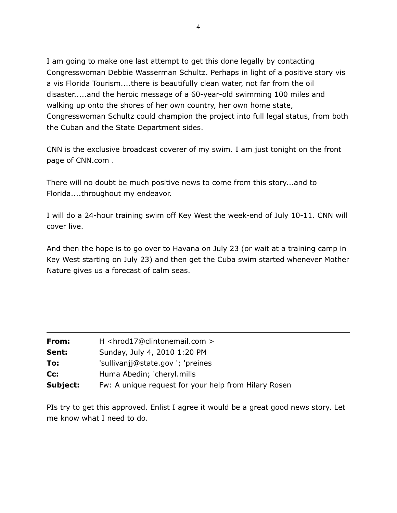I am going to make one last attempt to get this done legally by contacting Congresswoman Debbie Wasserman Schultz. Perhaps in light of a positive story vis a vis Florida Tourism....there is beautifully clean water, not far from the oil disaster.....and the heroic message of a 60-year-old swimming 100 miles and walking up onto the shores of her own country, her own home state, Congresswoman Schultz could champion the project into full legal status, from both the Cuban and the State Department sides.

CNN is the exclusive broadcast coverer of my swim. I am just tonight on the front page of CNN.com .

There will no doubt be much positive news to come from this story...and to Florida....throughout my endeavor.

I will do a 24-hour training swim off Key West the week-end of July 10-11. CNN will cover live.

And then the hope is to go over to Havana on July 23 (or wait at a training camp in Key West starting on July 23) and then get the Cuba swim started whenever Mother Nature gives us a forecast of calm seas.

| From:    | H <hrod17@clintonemail.com></hrod17@clintonemail.com> |
|----------|-------------------------------------------------------|
| Sent:    | Sunday, July 4, 2010 1:20 PM                          |
| To:      | 'sullivanjj@state.gov '; 'preines                     |
| Cc:      | Huma Abedin; 'cheryl.mills                            |
| Subject: | Fw: A unique request for your help from Hilary Rosen  |

PIs try to get this approved. Enlist I agree it would be a great good news story. Let me know what I need to do.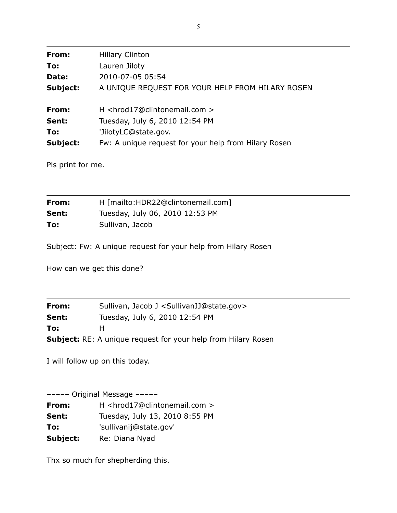| From:<br>To:      | <b>Hillary Clinton</b><br>Lauren Jiloty                              |
|-------------------|----------------------------------------------------------------------|
| Date:<br>Subject: | 2010-07-05 05:54<br>A UNIQUE REQUEST FOR YOUR HELP FROM HILARY ROSEN |
|                   |                                                                      |
| From:             | H <hrod17@clintonemail.com></hrod17@clintonemail.com>                |
| Sent:             | Tuesday, July 6, 2010 12:54 PM                                       |
| To:               | 'JilotyLC@state.gov.                                                 |
| Subject:          | Fw: A unique request for your help from Hilary Rosen                 |

Pls print for me.

| From: | H [mailto: HDR22@clintonemail.com] |
|-------|------------------------------------|
| Sent: | Tuesday, July 06, 2010 12:53 PM    |
| To:   | Sullivan, Jacob                    |

Subject: Fw: A unique request for your help from Hilary Rosen

How can we get this done?

| From:                                                                | Sullivan, Jacob J < Sullivan JJ@state.gov> |
|----------------------------------------------------------------------|--------------------------------------------|
| Sent:                                                                | Tuesday, July 6, 2010 12:54 PM             |
| To:                                                                  | н.                                         |
| <b>Subject:</b> RE: A unique request for your help from Hilary Rosen |                                            |

I will follow up on this today.

––––– Original Message –––––

| From:    | H <hrod17@clintonemail.com></hrod17@clintonemail.com> |
|----------|-------------------------------------------------------|
| Sent:    | Tuesday, July 13, 2010 8:55 PM                        |
| To:      | 'sullivanij@state.gov'                                |
| Subject: | Re: Diana Nyad                                        |

Thx so much for shepherding this.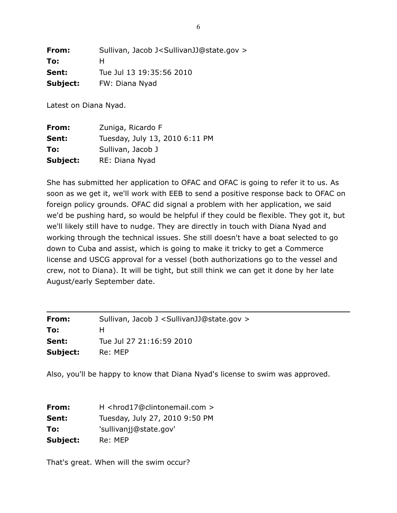**From:** Sullivan, Jacob J<SullivanJJ@state.gov > **To:** H **Sent:** Tue Jul 13 19:35:56 2010 **Subject:** FW: Diana Nyad

Latest on Diana Nyad.

| From:    | Zuniga, Ricardo F              |
|----------|--------------------------------|
| Sent:    | Tuesday, July 13, 2010 6:11 PM |
| To:      | Sullivan, Jacob J              |
| Subject: | RE: Diana Nyad                 |

She has submitted her application to OFAC and OFAC is going to refer it to us. As soon as we get it, we'll work with EEB to send a positive response back to OFAC on foreign policy grounds. OFAC did signal a problem with her application, we said we'd be pushing hard, so would be helpful if they could be flexible. They got it, but we'll likely still have to nudge. They are directly in touch with Diana Nyad and working through the technical issues. She still doesn't have a boat selected to go down to Cuba and assist, which is going to make it tricky to get a Commerce license and USCG approval for a vessel (both authorizations go to the vessel and crew, not to Diana). It will be tight, but still think we can get it done by her late August/early September date.

| From:    | Sullivan, Jacob J <sullivanjj@state.gov></sullivanjj@state.gov> |
|----------|-----------------------------------------------------------------|
| To:      | н                                                               |
| Sent:    | Tue Jul 27 21:16:59 2010                                        |
| Subject: | Re: MEP                                                         |

Also, you'll be happy to know that Diana Nyad's license to swim was approved.

| From:    | H <hrod17@clintonemail.com></hrod17@clintonemail.com> |
|----------|-------------------------------------------------------|
| Sent:    | Tuesday, July 27, 2010 9:50 PM                        |
| To:      | 'sullivanjj@state.gov'                                |
| Subject: | Re: MEP                                               |

That's great. When will the swim occur?